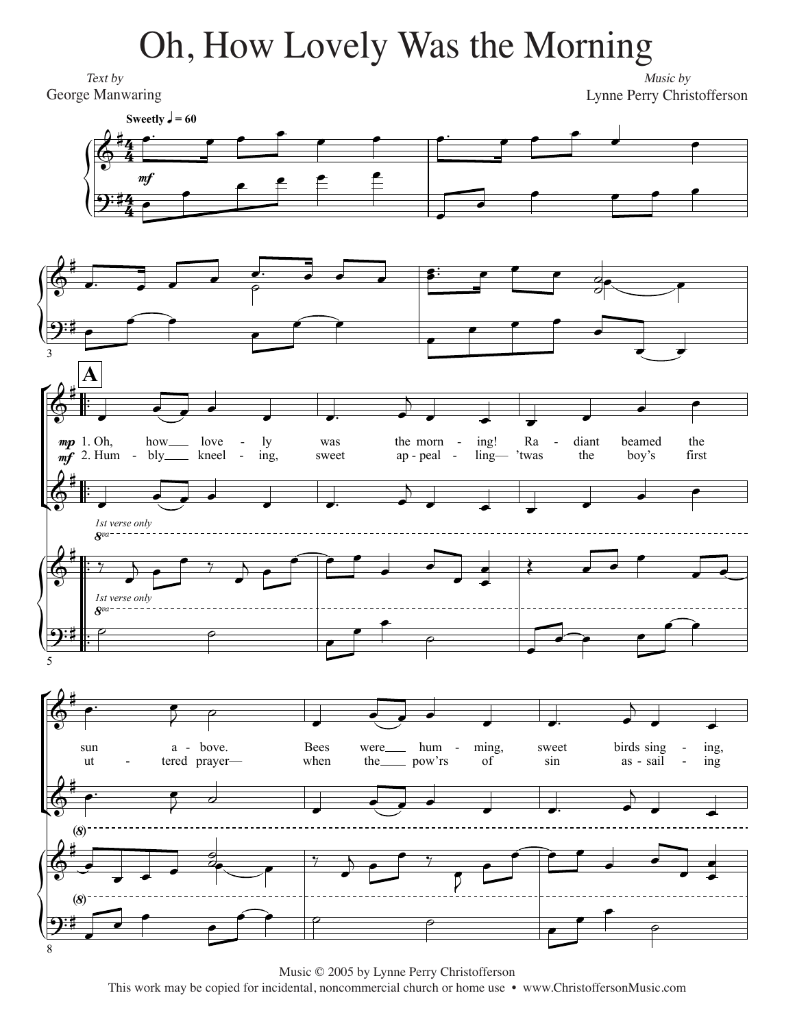## Oh, How Lovely Was the Morning

Text by George Manwaring

Music by Lynne Perry Christofferson



Music © 2005 by Lynne Perry Christofferson This work may be copied for incidental, noncommercial church or home use • www.ChristoffersonMusic.com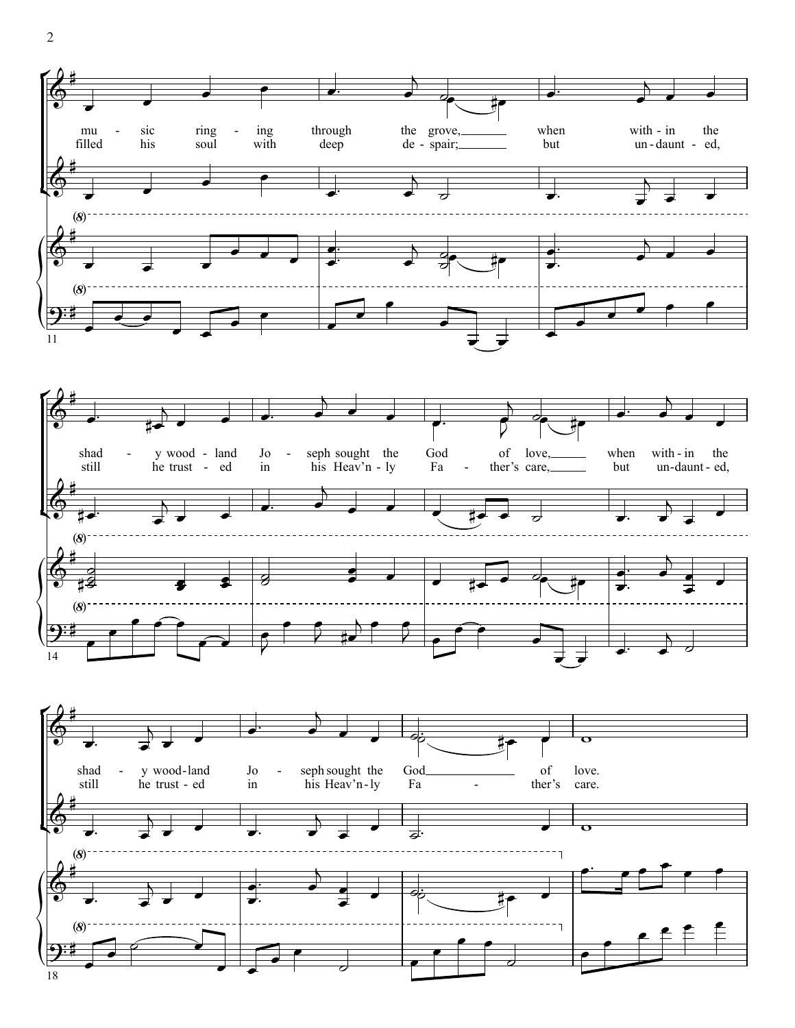

 $\overline{2}$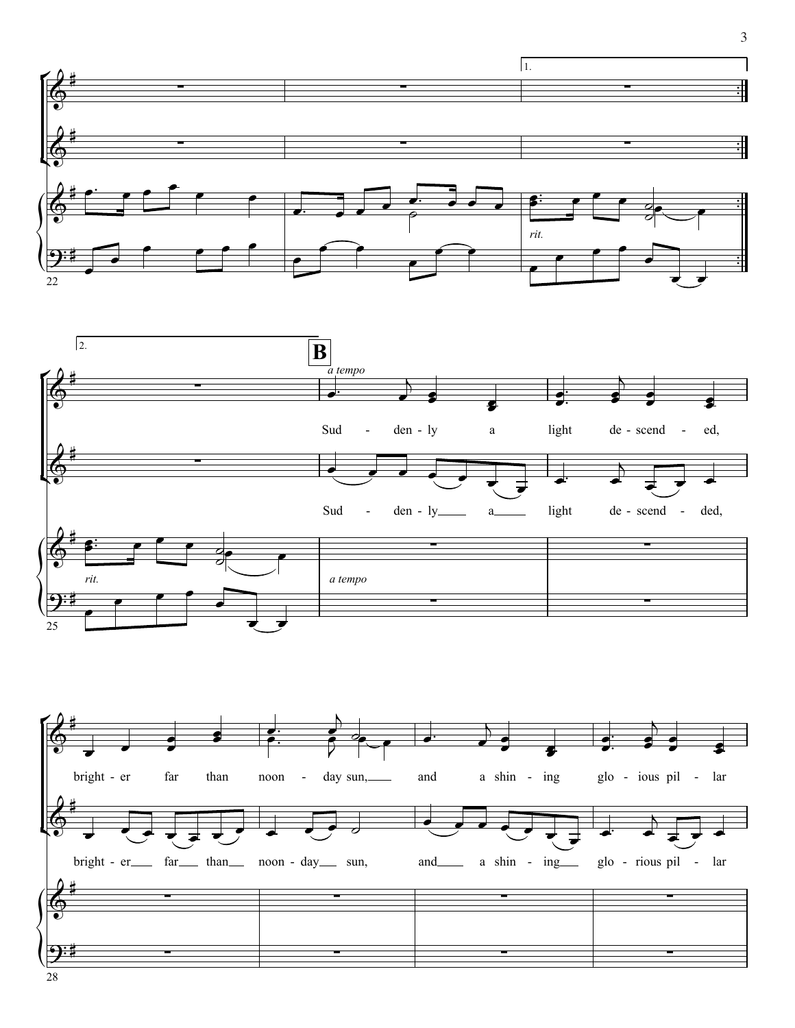

3 3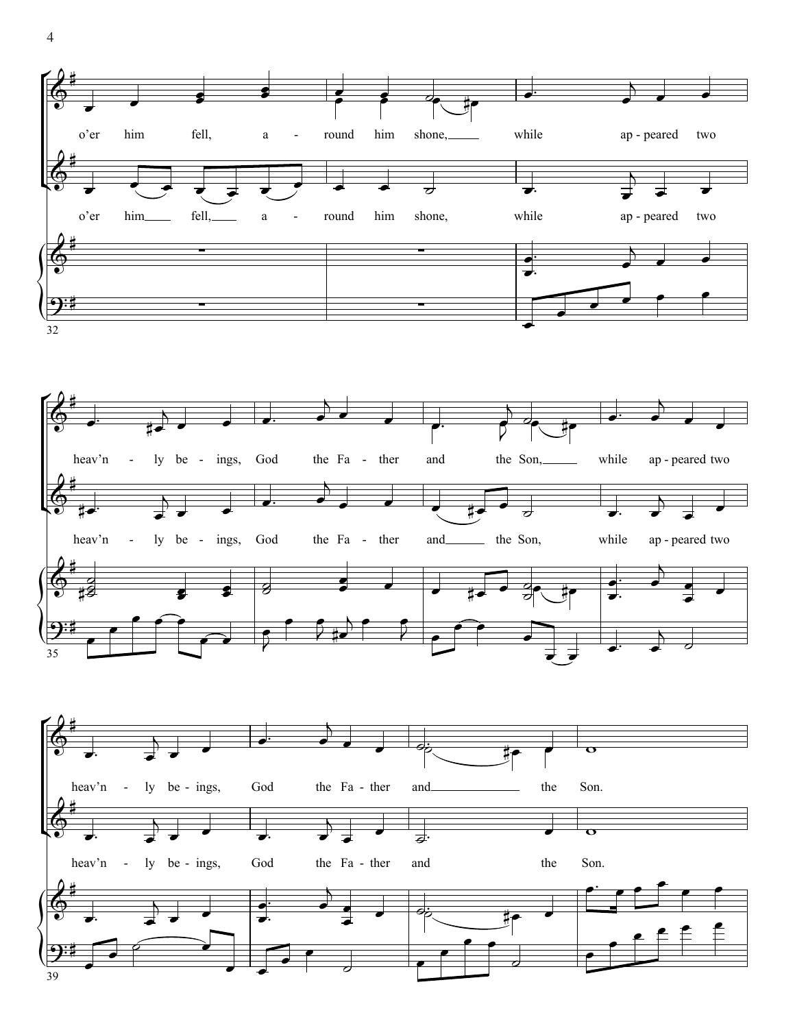





 $\overline{4}$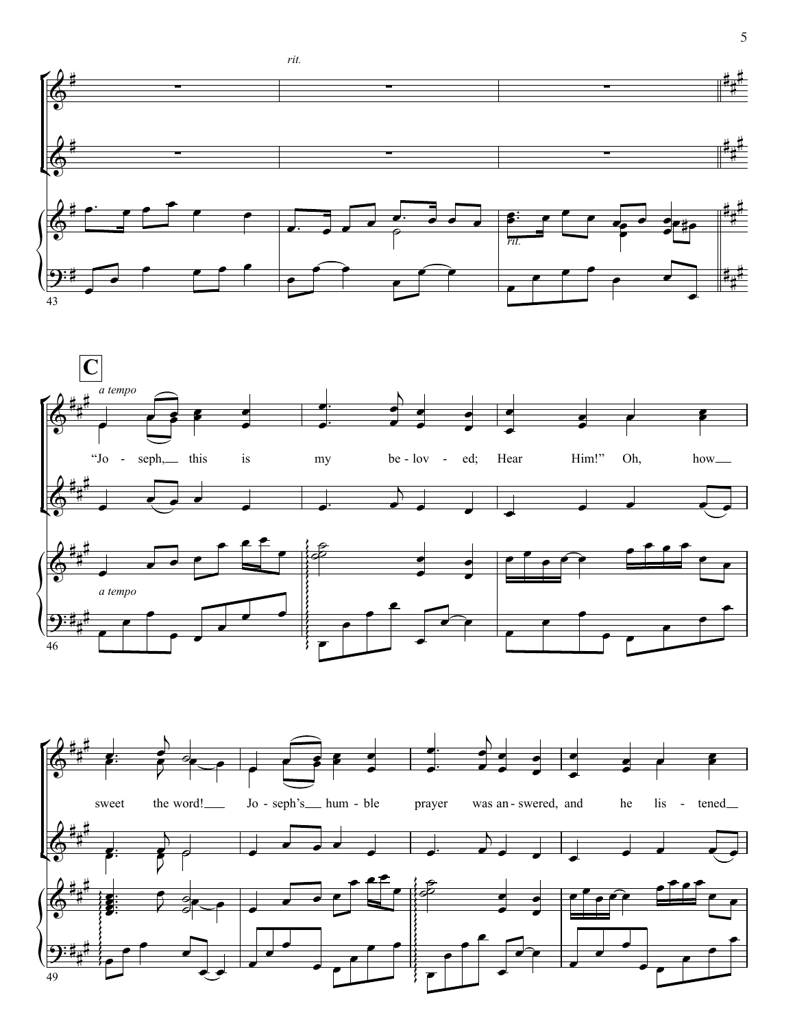